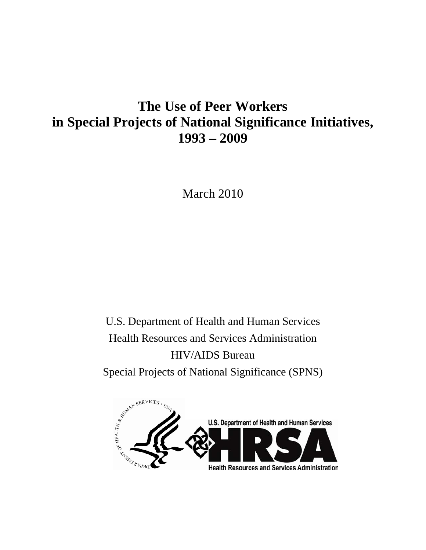# **The Use of Peer Workers in Special Projects of National Significance Initiatives, 1993 – 2009**

March 2010

U.S. Department of Health and Human Services Health Resources and Services Administration HIV/AIDS Bureau

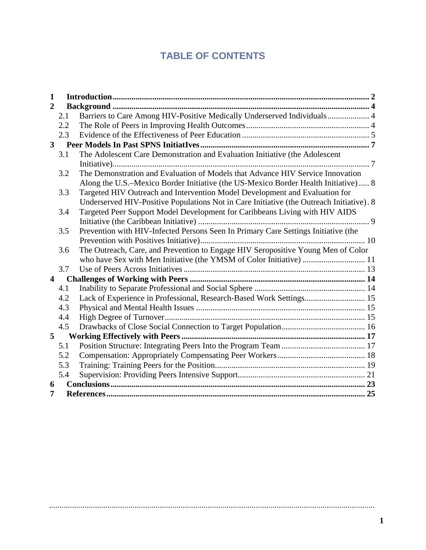## **TABLE OF CONTENTS**

| $\mathbf{1}$                                                                             |                                                                                         |                                                                                    |  |  |  |  |  |
|------------------------------------------------------------------------------------------|-----------------------------------------------------------------------------------------|------------------------------------------------------------------------------------|--|--|--|--|--|
| 2                                                                                        |                                                                                         |                                                                                    |  |  |  |  |  |
| Barriers to Care Among HIV-Positive Medically Underserved Individuals 4<br>2.1           |                                                                                         |                                                                                    |  |  |  |  |  |
|                                                                                          | 2.2                                                                                     |                                                                                    |  |  |  |  |  |
|                                                                                          | 2.3                                                                                     |                                                                                    |  |  |  |  |  |
| $\mathbf{3}$                                                                             |                                                                                         |                                                                                    |  |  |  |  |  |
|                                                                                          | The Adolescent Care Demonstration and Evaluation Initiative (the Adolescent<br>3.1      |                                                                                    |  |  |  |  |  |
|                                                                                          |                                                                                         |                                                                                    |  |  |  |  |  |
|                                                                                          | The Demonstration and Evaluation of Models that Advance HIV Service Innovation<br>3.2   |                                                                                    |  |  |  |  |  |
|                                                                                          | Along the U.S.–Mexico Border Initiative (the US-Mexico Border Health Initiative)  8     |                                                                                    |  |  |  |  |  |
| Targeted HIV Outreach and Intervention Model Development and Evaluation for<br>3.3       |                                                                                         |                                                                                    |  |  |  |  |  |
| Underserved HIV-Positive Populations Not in Care Initiative (the Outreach Initiative). 8 |                                                                                         |                                                                                    |  |  |  |  |  |
| Targeted Peer Support Model Development for Caribbeans Living with HIV AIDS<br>3.4       |                                                                                         |                                                                                    |  |  |  |  |  |
|                                                                                          |                                                                                         |                                                                                    |  |  |  |  |  |
|                                                                                          | 3.5                                                                                     | Prevention with HIV-Infected Persons Seen In Primary Care Settings Initiative (the |  |  |  |  |  |
|                                                                                          |                                                                                         |                                                                                    |  |  |  |  |  |
|                                                                                          | The Outreach, Care, and Prevention to Engage HIV Seropositive Young Men of Color<br>3.6 |                                                                                    |  |  |  |  |  |
|                                                                                          |                                                                                         | who have Sex with Men Initiative (the YMSM of Color Initiative)  11                |  |  |  |  |  |
|                                                                                          | 3.7                                                                                     |                                                                                    |  |  |  |  |  |
| $\overline{\mathbf{4}}$                                                                  |                                                                                         |                                                                                    |  |  |  |  |  |
|                                                                                          | 4.1                                                                                     |                                                                                    |  |  |  |  |  |
|                                                                                          | 4.2                                                                                     | Lack of Experience in Professional, Research-Based Work Settings 15                |  |  |  |  |  |
|                                                                                          | 4.3                                                                                     |                                                                                    |  |  |  |  |  |
|                                                                                          | 4.4                                                                                     |                                                                                    |  |  |  |  |  |
|                                                                                          | 4.5                                                                                     |                                                                                    |  |  |  |  |  |
| 5                                                                                        |                                                                                         |                                                                                    |  |  |  |  |  |
|                                                                                          | 5.1                                                                                     |                                                                                    |  |  |  |  |  |
|                                                                                          | 5.2                                                                                     |                                                                                    |  |  |  |  |  |
|                                                                                          | 5.3                                                                                     |                                                                                    |  |  |  |  |  |
|                                                                                          | 5.4                                                                                     |                                                                                    |  |  |  |  |  |
| 6                                                                                        |                                                                                         |                                                                                    |  |  |  |  |  |
| 7                                                                                        |                                                                                         |                                                                                    |  |  |  |  |  |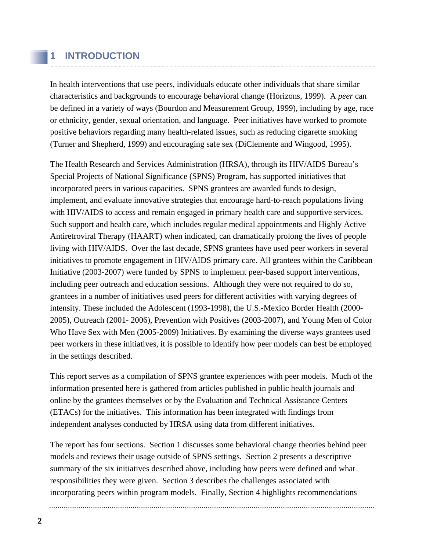## **1 INTRODUCTION**

In health interventions that use peers, individuals educate other individuals that share similar characteristics and backgrounds to encourage behavioral change (Horizons, 1999). A *peer* can be defined in a variety of ways (Bourdon and Measurement Group, 1999), including by age, race or ethnicity, gender, sexual orientation, and language. Peer initiatives have worked to promote positive behaviors regarding many health-related issues, such as reducing cigarette smoking (Turner and Shepherd, 1999) and encouraging safe sex (DiClemente and Wingood, 1995).

The Health Research and Services Administration (HRSA), through its HIV/AIDS Bureau's Special Projects of National Significance (SPNS) Program, has supported initiatives that incorporated peers in various capacities. SPNS grantees are awarded funds to design, implement, and evaluate innovative strategies that encourage hard-to-reach populations living with HIV/AIDS to access and remain engaged in primary health care and supportive services. Such support and health care, which includes regular medical appointments and Highly Active Antiretroviral Therapy (HAART) when indicated, can dramatically prolong the lives of people living with HIV/AIDS. Over the last decade, SPNS grantees have used peer workers in several initiatives to promote engagement in HIV/AIDS primary care. All grantees within the Caribbean Initiative (2003-2007) were funded by SPNS to implement peer-based support interventions, including peer outreach and education sessions. Although they were not required to do so, grantees in a number of initiatives used peers for different activities with varying degrees of intensity. These included the Adolescent (1993-1998), the U.S.-Mexico Border Health (2000- 2005), Outreach (2001- 2006), Prevention with Positives (2003-2007), and Young Men of Color Who Have Sex with Men (2005-2009) Initiatives. By examining the diverse ways grantees used peer workers in these initiatives, it is possible to identify how peer models can best be employed in the settings described.

This report serves as a compilation of SPNS grantee experiences with peer models. Much of the information presented here is gathered from articles published in public health journals and online by the grantees themselves or by the Evaluation and Technical Assistance Centers (ETACs) for the initiatives. This information has been integrated with findings from independent analyses conducted by HRSA using data from different initiatives.

The report has four sections. Section 1 discusses some behavioral change theories behind peer models and reviews their usage outside of SPNS settings. Section 2 presents a descriptive summary of the six initiatives described above, including how peers were defined and what responsibilities they were given. Section 3 describes the challenges associated with incorporating peers within program models. Finally, Section 4 highlights recommendations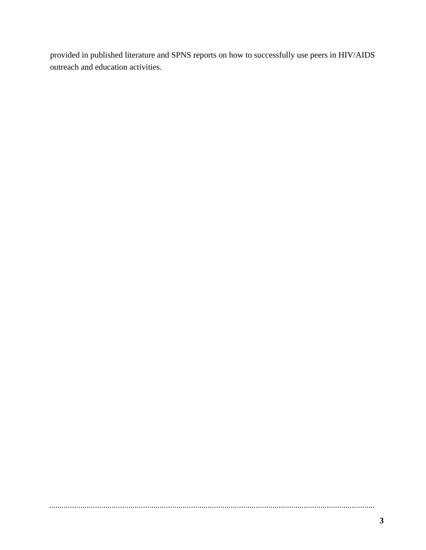provided in published literature and SPNS reports on how to successfully use peers in HIV/AIDS outreach and education activities.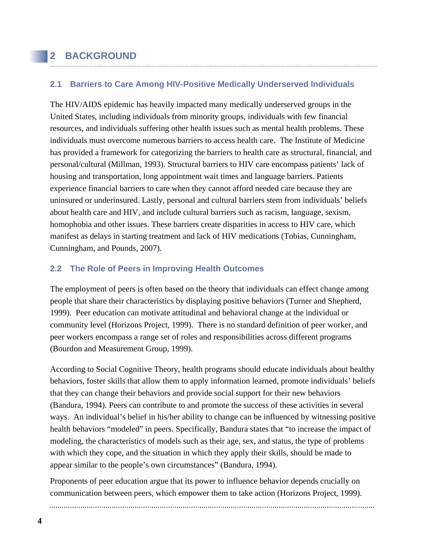## **2 BACKGROUND**

### **2.1 Barriers to Care Among HIV-Positive Medically Underserved Individuals**

The HIV/AIDS epidemic has heavily impacted many medically underserved groups in the United States, including individuals from minority groups, individuals with few financial resources, and individuals suffering other health issues such as mental health problems. These individuals must overcome numerous barriers to access health care. The Institute of Medicine has provided a framework for categorizing the barriers to health care as structural, financial, and personal/cultural (Millman, 1993). Structural barriers to HIV care encompass patients' lack of housing and transportation, long appointment wait times and language barriers. Patients experience financial barriers to care when they cannot afford needed care because they are uninsured or underinsured. Lastly, personal and cultural barriers stem from individuals' beliefs about health care and HIV, and include cultural barriers such as racism, language, sexism, homophobia and other issues. These barriers create disparities in access to HIV care, which manifest as delays in starting treatment and lack of HIV medications (Tobias, Cunningham, Cunningham, and Pounds, 2007).

### **2.2 The Role of Peers in Improving Health Outcomes**

The employment of peers is often based on the theory that individuals can effect change among people that share their characteristics by displaying positive behaviors (Turner and Shepherd, 1999). Peer education can motivate attitudinal and behavioral change at the individual or community level (Horizons Project, 1999). There is no standard definition of peer worker, and peer workers encompass a range set of roles and responsibilities across different programs (Bourdon and Measurement Group, 1999).

According to Social Cognitive Theory, health programs should educate individuals about healthy behaviors, foster skills that allow them to apply information learned, promote individuals' beliefs that they can change their behaviors and provide social support for their new behaviors (Bandura, 1994). Peers can contribute to and promote the success of these activities in several ways. An individual's belief in his/her ability to change can be influenced by witnessing positive health behaviors "modeled" in peers. Specifically, Bandura states that "to increase the impact of modeling, the characteristics of models such as their age, sex, and status, the type of problems with which they cope, and the situation in which they apply their skills, should be made to appear similar to the people's own circumstances" (Bandura, 1994).

Proponents of peer education argue that its power to influence behavior depends crucially on communication between peers, which empower them to take action (Horizons Project, 1999).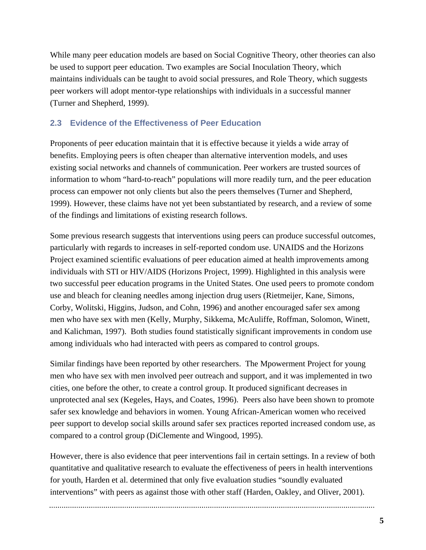While many peer education models are based on Social Cognitive Theory, other theories can also be used to support peer education. Two examples are Social Inoculation Theory, which maintains individuals can be taught to avoid social pressures, and Role Theory, which suggests peer workers will adopt mentor-type relationships with individuals in a successful manner (Turner and Shepherd, 1999).

## **2.3 Evidence of the Effectiveness of Peer Education**

Proponents of peer education maintain that it is effective because it yields a wide array of benefits. Employing peers is often cheaper than alternative intervention models, and uses existing social networks and channels of communication. Peer workers are trusted sources of information to whom "hard-to-reach" populations will more readily turn, and the peer education process can empower not only clients but also the peers themselves (Turner and Shepherd, 1999). However, these claims have not yet been substantiated by research, and a review of some of the findings and limitations of existing research follows.

Some previous research suggests that interventions using peers can produce successful outcomes, particularly with regards to increases in self-reported condom use. UNAIDS and the Horizons Project examined scientific evaluations of peer education aimed at health improvements among individuals with STI or HIV/AIDS (Horizons Project, 1999). Highlighted in this analysis were two successful peer education programs in the United States. One used peers to promote condom use and bleach for cleaning needles among injection drug users (Rietmeijer, Kane, Simons, Corby, Wolitski, Higgins, Judson, and Cohn, 1996) and another encouraged safer sex among men who have sex with men (Kelly, Murphy, Sikkema, McAuliffe, Roffman, Solomon, Winett, and Kalichman, 1997). Both studies found statistically significant improvements in condom use among individuals who had interacted with peers as compared to control groups.

Similar findings have been reported by other researchers. The Mpowerment Project for young men who have sex with men involved peer outreach and support, and it was implemented in two cities, one before the other, to create a control group. It produced significant decreases in unprotected anal sex (Kegeles, Hays, and Coates, 1996). Peers also have been shown to promote safer sex knowledge and behaviors in women. Young African-American women who received peer support to develop social skills around safer sex practices reported increased condom use, as compared to a control group (DiClemente and Wingood, 1995).

However, there is also evidence that peer interventions fail in certain settings. In a review of both quantitative and qualitative research to evaluate the effectiveness of peers in health interventions for youth, Harden et al. determined that only five evaluation studies "soundly evaluated interventions" with peers as against those with other staff (Harden, Oakley, and Oliver, 2001).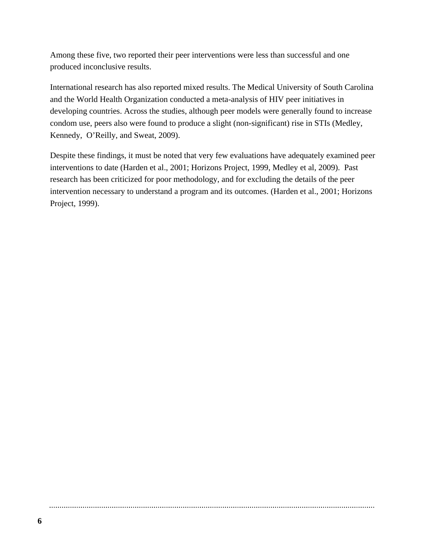Among these five, two reported their peer interventions were less than successful and one produced inconclusive results.

International research has also reported mixed results. The Medical University of South Carolina and the World Health Organization conducted a meta-analysis of HIV peer initiatives in developing countries. Across the studies, although peer models were generally found to increase condom use, peers also were found to produce a slight (non-significant) rise in STIs (Medley, Kennedy, O'Reilly, and Sweat, 2009).

Despite these findings, it must be noted that very few evaluations have adequately examined peer interventions to date (Harden et al., 2001; Horizons Project, 1999, Medley et al, 2009). Past research has been criticized for poor methodology, and for excluding the details of the peer intervention necessary to understand a program and its outcomes. (Harden et al., 2001; Horizons Project, 1999).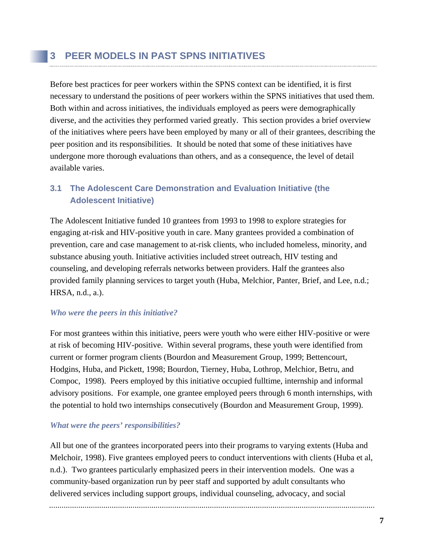Before best practices for peer workers within the SPNS context can be identified, it is first necessary to understand the positions of peer workers within the SPNS initiatives that used them. Both within and across initiatives, the individuals employed as peers were demographically diverse, and the activities they performed varied greatly. This section provides a brief overview of the initiatives where peers have been employed by many or all of their grantees, describing the peer position and its responsibilities. It should be noted that some of these initiatives have undergone more thorough evaluations than others, and as a consequence, the level of detail available varies.

## **3.1 The Adolescent Care Demonstration and Evaluation Initiative (the Adolescent Initiative)**

The Adolescent Initiative funded 10 grantees from 1993 to 1998 to explore strategies for engaging at-risk and HIV-positive youth in care. Many grantees provided a combination of prevention, care and case management to at-risk clients, who included homeless, minority, and substance abusing youth. Initiative activities included street outreach, HIV testing and counseling, and developing referrals networks between providers. Half the grantees also provided family planning services to target youth (Huba, Melchior, Panter, Brief, and Lee, n.d.; HRSA, n.d., a.).

### *Who were the peers in this initiative?*

For most grantees within this initiative, peers were youth who were either HIV-positive or were at risk of becoming HIV-positive. Within several programs, these youth were identified from current or former program clients (Bourdon and Measurement Group, 1999; Bettencourt, Hodgins, Huba, and Pickett, 1998; Bourdon, Tierney, Huba, Lothrop, Melchior, Betru, and Compoc, 1998). Peers employed by this initiative occupied fulltime, internship and informal advisory positions. For example, one grantee employed peers through 6 month internships, with the potential to hold two internships consecutively (Bourdon and Measurement Group, 1999).

### *What were the peers' responsibilities?*

All but one of the grantees incorporated peers into their programs to varying extents (Huba and Melchoir, 1998). Five grantees employed peers to conduct interventions with clients (Huba et al, n.d.). Two grantees particularly emphasized peers in their intervention models. One was a community-based organization run by peer staff and supported by adult consultants who delivered services including support groups, individual counseling, advocacy, and social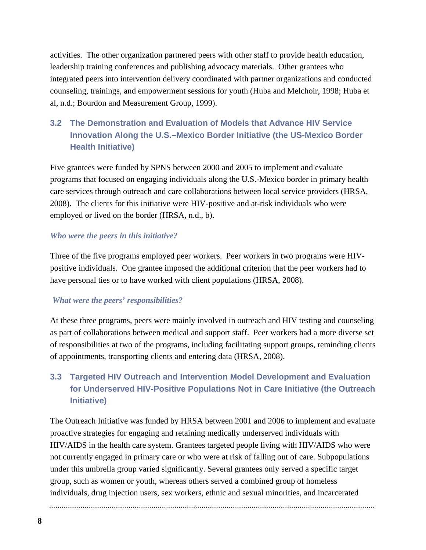activities. The other organization partnered peers with other staff to provide health education, leadership training conferences and publishing advocacy materials. Other grantees who integrated peers into intervention delivery coordinated with partner organizations and conducted counseling, trainings, and empowerment sessions for youth (Huba and Melchoir, 1998; Huba et al, n.d.; Bourdon and Measurement Group, 1999).

## **3.2 The Demonstration and Evaluation of Models that Advance HIV Service Innovation Along the U.S.–Mexico Border Initiative (the US-Mexico Border Health Initiative)**

Five grantees were funded by SPNS between 2000 and 2005 to implement and evaluate programs that focused on engaging individuals along the U.S.-Mexico border in primary health care services through outreach and care collaborations between local service providers (HRSA, 2008). The clients for this initiative were HIV-positive and at-risk individuals who were employed or lived on the border (HRSA, n.d., b).

### *Who were the peers in this initiative?*

Three of the five programs employed peer workers. Peer workers in two programs were HIVpositive individuals. One grantee imposed the additional criterion that the peer workers had to have personal ties or to have worked with client populations (HRSA, 2008).

## *What were the peers' responsibilities?*

At these three programs, peers were mainly involved in outreach and HIV testing and counseling as part of collaborations between medical and support staff. Peer workers had a more diverse set of responsibilities at two of the programs, including facilitating support groups, reminding clients of appointments, transporting clients and entering data (HRSA, 2008).

## **3.3 Targeted HIV Outreach and Intervention Model Development and Evaluation for Underserved HIV-Positive Populations Not in Care Initiative (the Outreach Initiative)**

The Outreach Initiative was funded by HRSA between 2001 and 2006 to implement and evaluate proactive strategies for engaging and retaining medically underserved individuals with HIV/AIDS in the health care system. Grantees targeted people living with HIV/AIDS who were not currently engaged in primary care or who were at risk of falling out of care. Subpopulations under this umbrella group varied significantly. Several grantees only served a specific target group, such as women or youth, whereas others served a combined group of homeless individuals, drug injection users, sex workers, ethnic and sexual minorities, and incarcerated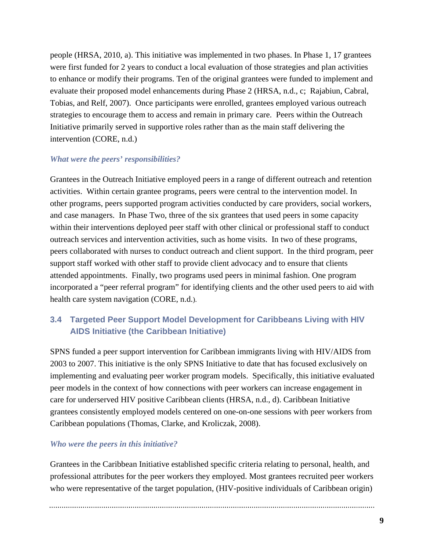people (HRSA, 2010, a). This initiative was implemented in two phases. In Phase 1, 17 grantees were first funded for 2 years to conduct a local evaluation of those strategies and plan activities to enhance or modify their programs. Ten of the original grantees were funded to implement and evaluate their proposed model enhancements during Phase 2 (HRSA, n.d., c; Rajabiun, Cabral, Tobias, and Relf, 2007). Once participants were enrolled, grantees employed various outreach strategies to encourage them to access and remain in primary care. Peers within the Outreach Initiative primarily served in supportive roles rather than as the main staff delivering the intervention (CORE, n.d.)

#### *What were the peers' responsibilities?*

Grantees in the Outreach Initiative employed peers in a range of different outreach and retention activities. Within certain grantee programs, peers were central to the intervention model. In other programs, peers supported program activities conducted by care providers, social workers, and case managers. In Phase Two, three of the six grantees that used peers in some capacity within their interventions deployed peer staff with other clinical or professional staff to conduct outreach services and intervention activities, such as home visits. In two of these programs, peers collaborated with nurses to conduct outreach and client support. In the third program, peer support staff worked with other staff to provide client advocacy and to ensure that clients attended appointments. Finally, two programs used peers in minimal fashion. One program incorporated a "peer referral program" for identifying clients and the other used peers to aid with health care system navigation (CORE, n.d.).

## **3.4 Targeted Peer Support Model Development for Caribbeans Living with HIV AIDS Initiative (the Caribbean Initiative)**

SPNS funded a peer support intervention for Caribbean immigrants living with HIV/AIDS from 2003 to 2007. This initiative is the only SPNS Initiative to date that has focused exclusively on implementing and evaluating peer worker program models. Specifically, this initiative evaluated peer models in the context of how connections with peer workers can increase engagement in care for underserved HIV positive Caribbean clients (HRSA, n.d., d). Caribbean Initiative grantees consistently employed models centered on one-on-one sessions with peer workers from Caribbean populations (Thomas, Clarke, and Kroliczak, 2008).

#### *Who were the peers in this initiative?*

Grantees in the Caribbean Initiative established specific criteria relating to personal, health, and professional attributes for the peer workers they employed. Most grantees recruited peer workers who were representative of the target population, (HIV-positive individuals of Caribbean origin)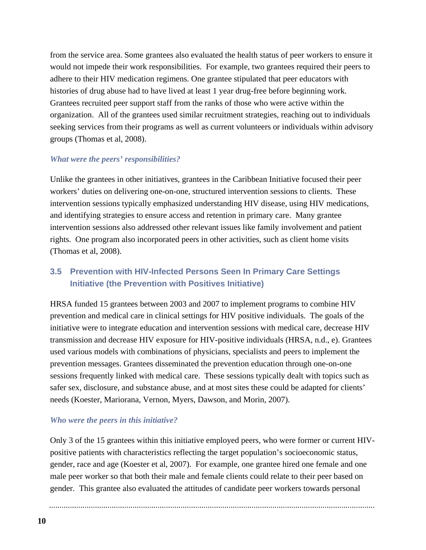from the service area. Some grantees also evaluated the health status of peer workers to ensure it would not impede their work responsibilities. For example, two grantees required their peers to adhere to their HIV medication regimens. One grantee stipulated that peer educators with histories of drug abuse had to have lived at least 1 year drug-free before beginning work. Grantees recruited peer support staff from the ranks of those who were active within the organization. All of the grantees used similar recruitment strategies, reaching out to individuals seeking services from their programs as well as current volunteers or individuals within advisory groups (Thomas et al, 2008).

#### *What were the peers' responsibilities?*

Unlike the grantees in other initiatives, grantees in the Caribbean Initiative focused their peer workers' duties on delivering one-on-one, structured intervention sessions to clients. These intervention sessions typically emphasized understanding HIV disease, using HIV medications, and identifying strategies to ensure access and retention in primary care. Many grantee intervention sessions also addressed other relevant issues like family involvement and patient rights. One program also incorporated peers in other activities, such as client home visits (Thomas et al, 2008).

## **3.5 Prevention with HIV-Infected Persons Seen In Primary Care Settings Initiative (the Prevention with Positives Initiative)**

HRSA funded 15 grantees between 2003 and 2007 to implement programs to combine HIV prevention and medical care in clinical settings for HIV positive individuals. The goals of the initiative were to integrate education and intervention sessions with medical care, decrease HIV transmission and decrease HIV exposure for HIV-positive individuals (HRSA, n.d., e). Grantees used various models with combinations of physicians, specialists and peers to implement the prevention messages. Grantees disseminated the prevention education through one-on-one sessions frequently linked with medical care. These sessions typically dealt with topics such as safer sex, disclosure, and substance abuse, and at most sites these could be adapted for clients' needs (Koester, Mariorana, Vernon, Myers, Dawson, and Morin, 2007).

#### *Who were the peers in this initiative?*

Only 3 of the 15 grantees within this initiative employed peers, who were former or current HIVpositive patients with characteristics reflecting the target population's socioeconomic status, gender, race and age (Koester et al, 2007). For example, one grantee hired one female and one male peer worker so that both their male and female clients could relate to their peer based on gender. This grantee also evaluated the attitudes of candidate peer workers towards personal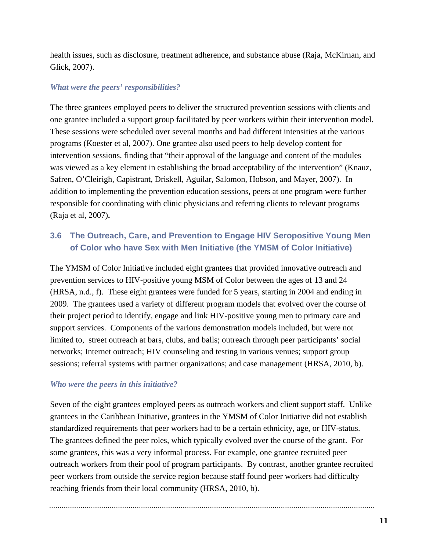health issues, such as disclosure, treatment adherence, and substance abuse (Raja, McKirnan, and Glick, 2007).

#### *What were the peers' responsibilities?*

The three grantees employed peers to deliver the structured prevention sessions with clients and one grantee included a support group facilitated by peer workers within their intervention model. These sessions were scheduled over several months and had different intensities at the various programs (Koester et al, 2007). One grantee also used peers to help develop content for intervention sessions, finding that "their approval of the language and content of the modules was viewed as a key element in establishing the broad acceptability of the intervention" (Knauz, Safren, O'Cleirigh, Capistrant, Driskell, Aguilar, Salomon, Hobson, and Mayer, 2007). In addition to implementing the prevention education sessions, peers at one program were further responsible for coordinating with clinic physicians and referring clients to relevant programs (Raja et al, 2007)**.** 

## **3.6 The Outreach, Care, and Prevention to Engage HIV Seropositive Young Men of Color who have Sex with Men Initiative (the YMSM of Color Initiative)**

The YMSM of Color Initiative included eight grantees that provided innovative outreach and prevention services to HIV-positive young MSM of Color between the ages of 13 and 24 (HRSA, n.d., f). These eight grantees were funded for 5 years, starting in 2004 and ending in 2009. The grantees used a variety of different program models that evolved over the course of their project period to identify, engage and link HIV-positive young men to primary care and support services. Components of the various demonstration models included, but were not limited to, street outreach at bars, clubs, and balls; outreach through peer participants' social networks; Internet outreach; HIV counseling and testing in various venues; support group sessions; referral systems with partner organizations; and case management (HRSA, 2010, b).

#### *Who were the peers in this initiative?*

Seven of the eight grantees employed peers as outreach workers and client support staff. Unlike grantees in the Caribbean Initiative, grantees in the YMSM of Color Initiative did not establish standardized requirements that peer workers had to be a certain ethnicity, age, or HIV-status. The grantees defined the peer roles, which typically evolved over the course of the grant. For some grantees, this was a very informal process. For example, one grantee recruited peer outreach workers from their pool of program participants. By contrast, another grantee recruited peer workers from outside the service region because staff found peer workers had difficulty reaching friends from their local community (HRSA, 2010, b).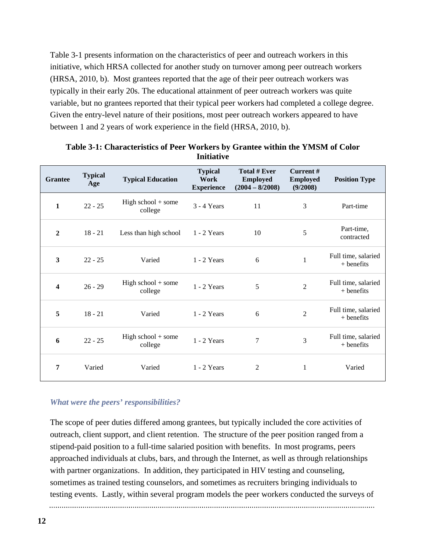Table 3-1 presents information on the characteristics of peer and outreach workers in this initiative, which HRSA collected for another study on turnover among peer outreach workers (HRSA, 2010, b). Most grantees reported that the age of their peer outreach workers was typically in their early 20s. The educational attainment of peer outreach workers was quite variable, but no grantees reported that their typical peer workers had completed a college degree. Given the entry-level nature of their positions, most peer outreach workers appeared to have between 1 and 2 years of work experience in the field (HRSA, 2010, b).

| <b>Grantee</b> | <b>Typical</b><br>Age | <b>Typical Education</b>        | <b>Typical</b><br>Work<br><b>Experience</b> | Total # Ever<br><b>Employed</b><br>$(2004 - 8/2008)$ | Current#<br><b>Employed</b><br>(9/2008) | <b>Position Type</b>                |
|----------------|-----------------------|---------------------------------|---------------------------------------------|------------------------------------------------------|-----------------------------------------|-------------------------------------|
| $\mathbf{1}$   | $22 - 25$             | High school $+$ some<br>college | $3 - 4$ Years                               | 11                                                   | 3                                       | Part-time                           |
| $\overline{2}$ | $18 - 21$             | Less than high school           | $1 - 2$ Years                               | 10                                                   | 5                                       | Part-time,<br>contracted            |
| $\mathbf{3}$   | $22 - 25$             | Varied                          | $1 - 2$ Years                               | 6                                                    | $\mathbf{1}$                            | Full time, salaried<br>$+$ benefits |
| 4              | $26 - 29$             | High school $+$ some<br>college | $1 - 2$ Years                               | 5                                                    | $\overline{2}$                          | Full time, salaried<br>$+$ benefits |
| 5              | $18 - 21$             | Varied                          | $1 - 2$ Years                               | 6                                                    | $\overline{2}$                          | Full time, salaried<br>$+$ benefits |
| 6              | $22 - 25$             | High school $+$ some<br>college | $1 - 2$ Years                               | $\overline{7}$                                       | 3                                       | Full time, salaried<br>$+$ benefits |
| 7              | Varied                | Varied                          | $1 - 2$ Years                               | $\overline{2}$                                       | $\mathbf{1}$                            | Varied                              |

#### **Table 3-1: Characteristics of Peer Workers by Grantee within the YMSM of Color Initiative**

### *What were the peers' responsibilities?*

The scope of peer duties differed among grantees, but typically included the core activities of outreach, client support, and client retention. The structure of the peer position ranged from a stipend-paid position to a full-time salaried position with benefits. In most programs, peers approached individuals at clubs, bars, and through the Internet, as well as through relationships with partner organizations. In addition, they participated in HIV testing and counseling, sometimes as trained testing counselors, and sometimes as recruiters bringing individuals to testing events. Lastly, within several program models the peer workers conducted the surveys of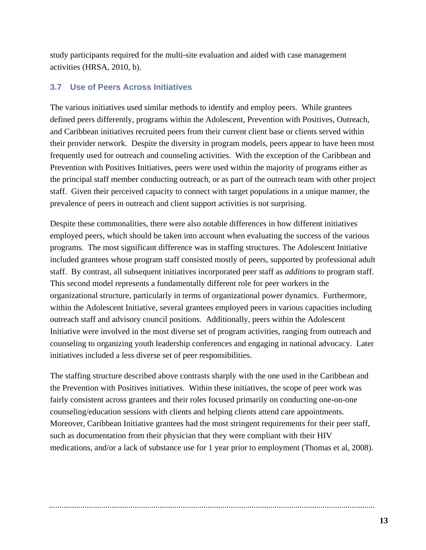study participants required for the multi-site evaluation and aided with case management activities (HRSA, 2010, b).

## **3.7 Use of Peers Across Initiatives**

The various initiatives used similar methods to identify and employ peers. While grantees defined peers differently, programs within the Adolescent, Prevention with Positives, Outreach, and Caribbean initiatives recruited peers from their current client base or clients served within their provider network. Despite the diversity in program models, peers appear to have been most frequently used for outreach and counseling activities. With the exception of the Caribbean and Prevention with Positives Initiatives, peers were used within the majority of programs either as the principal staff member conducting outreach, or as part of the outreach team with other project staff. Given their perceived capacity to connect with target populations in a unique manner, the prevalence of peers in outreach and client support activities is not surprising.

Despite these commonalities, there were also notable differences in how different initiatives employed peers, which should be taken into account when evaluating the success of the various programs. The most significant difference was in staffing structures. The Adolescent Initiative included grantees whose program staff consisted mostly of peers, supported by professional adult staff. By contrast, all subsequent initiatives incorporated peer staff as *additions* to program staff. This second model represents a fundamentally different role for peer workers in the organizational structure, particularly in terms of organizational power dynamics. Furthermore, within the Adolescent Initiative, several grantees employed peers in various capacities including outreach staff and advisory council positions. Additionally, peers within the Adolescent Initiative were involved in the most diverse set of program activities, ranging from outreach and counseling to organizing youth leadership conferences and engaging in national advocacy. Later initiatives included a less diverse set of peer responsibilities.

The staffing structure described above contrasts sharply with the one used in the Caribbean and the Prevention with Positives initiatives. Within these initiatives, the scope of peer work was fairly consistent across grantees and their roles focused primarily on conducting one-on-one counseling/education sessions with clients and helping clients attend care appointments. Moreover, Caribbean Initiative grantees had the most stringent requirements for their peer staff, such as documentation from their physician that they were compliant with their HIV medications, and/or a lack of substance use for 1 year prior to employment (Thomas et al, 2008).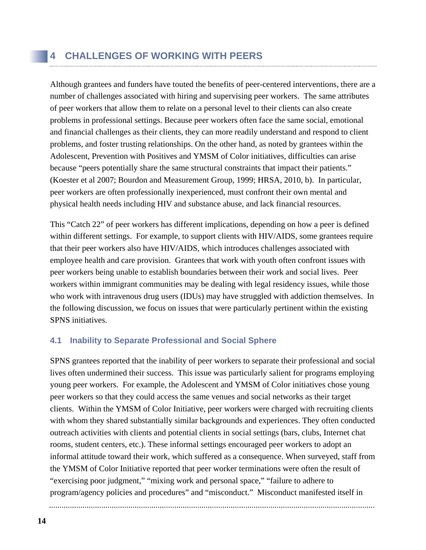Although grantees and funders have touted the benefits of peer-centered interventions, there are a number of challenges associated with hiring and supervising peer workers. The same attributes of peer workers that allow them to relate on a personal level to their clients can also create problems in professional settings. Because peer workers often face the same social, emotional and financial challenges as their clients, they can more readily understand and respond to client problems, and foster trusting relationships. On the other hand, as noted by grantees within the Adolescent, Prevention with Positives and YMSM of Color initiatives, difficulties can arise because "peers potentially share the same structural constraints that impact their patients." (Koester et al 2007; Bourdon and Measurement Group, 1999; HRSA, 2010, b). In particular, peer workers are often professionally inexperienced, must confront their own mental and physical health needs including HIV and substance abuse, and lack financial resources.

This "Catch 22" of peer workers has different implications, depending on how a peer is defined within different settings. For example, to support clients with HIV/AIDS, some grantees require that their peer workers also have HIV/AIDS, which introduces challenges associated with employee health and care provision. Grantees that work with youth often confront issues with peer workers being unable to establish boundaries between their work and social lives. Peer workers within immigrant communities may be dealing with legal residency issues, while those who work with intravenous drug users (IDUs) may have struggled with addiction themselves. In the following discussion, we focus on issues that were particularly pertinent within the existing SPNS initiatives.

## **4.1 Inability to Separate Professional and Social Sphere**

SPNS grantees reported that the inability of peer workers to separate their professional and social lives often undermined their success. This issue was particularly salient for programs employing young peer workers. For example, the Adolescent and YMSM of Color initiatives chose young peer workers so that they could access the same venues and social networks as their target clients. Within the YMSM of Color Initiative, peer workers were charged with recruiting clients with whom they shared substantially similar backgrounds and experiences. They often conducted outreach activities with clients and potential clients in social settings (bars, clubs, Internet chat rooms, student centers, etc.). These informal settings encouraged peer workers to adopt an informal attitude toward their work, which suffered as a consequence. When surveyed, staff from the YMSM of Color Initiative reported that peer worker terminations were often the result of "exercising poor judgment," "mixing work and personal space," "failure to adhere to program/agency policies and procedures" and "misconduct." Misconduct manifested itself in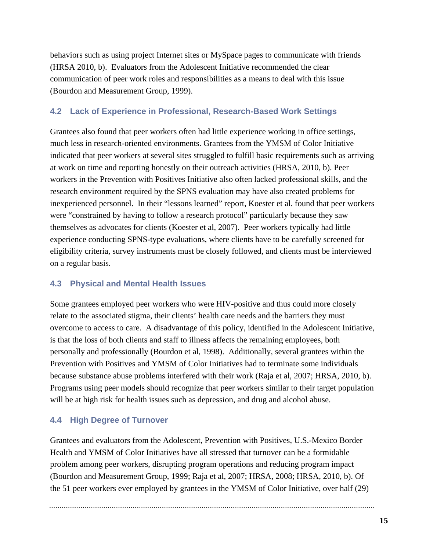behaviors such as using project Internet sites or MySpace pages to communicate with friends (HRSA 2010, b). Evaluators from the Adolescent Initiative recommended the clear communication of peer work roles and responsibilities as a means to deal with this issue (Bourdon and Measurement Group, 1999).

### **4.2 Lack of Experience in Professional, Research-Based Work Settings**

Grantees also found that peer workers often had little experience working in office settings, much less in research-oriented environments. Grantees from the YMSM of Color Initiative indicated that peer workers at several sites struggled to fulfill basic requirements such as arriving at work on time and reporting honestly on their outreach activities (HRSA, 2010, b). Peer workers in the Prevention with Positives Initiative also often lacked professional skills, and the research environment required by the SPNS evaluation may have also created problems for inexperienced personnel. In their "lessons learned" report, Koester et al. found that peer workers were "constrained by having to follow a research protocol" particularly because they saw themselves as advocates for clients (Koester et al, 2007). Peer workers typically had little experience conducting SPNS-type evaluations, where clients have to be carefully screened for eligibility criteria, survey instruments must be closely followed, and clients must be interviewed on a regular basis.

## **4.3 Physical and Mental Health Issues**

Some grantees employed peer workers who were HIV-positive and thus could more closely relate to the associated stigma, their clients' health care needs and the barriers they must overcome to access to care. A disadvantage of this policy, identified in the Adolescent Initiative, is that the loss of both clients and staff to illness affects the remaining employees, both personally and professionally (Bourdon et al, 1998). Additionally, several grantees within the Prevention with Positives and YMSM of Color Initiatives had to terminate some individuals because substance abuse problems interfered with their work (Raja et al, 2007; HRSA, 2010, b). Programs using peer models should recognize that peer workers similar to their target population will be at high risk for health issues such as depression, and drug and alcohol abuse.

## **4.4 High Degree of Turnover**

Grantees and evaluators from the Adolescent, Prevention with Positives, U.S.-Mexico Border Health and YMSM of Color Initiatives have all stressed that turnover can be a formidable problem among peer workers, disrupting program operations and reducing program impact (Bourdon and Measurement Group, 1999; Raja et al, 2007; HRSA, 2008; HRSA, 2010, b). Of the 51 peer workers ever employed by grantees in the YMSM of Color Initiative, over half (29)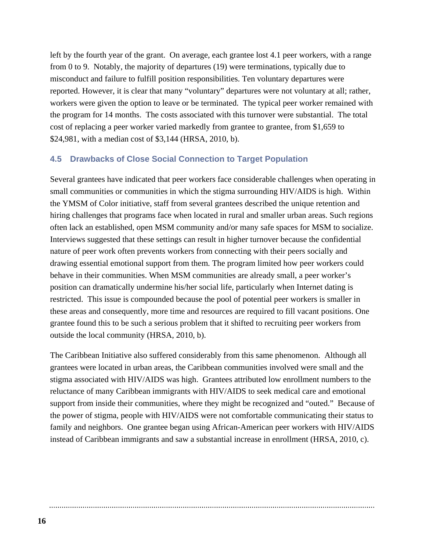left by the fourth year of the grant. On average, each grantee lost 4.1 peer workers, with a range from 0 to 9. Notably, the majority of departures (19) were terminations, typically due to misconduct and failure to fulfill position responsibilities. Ten voluntary departures were reported. However, it is clear that many "voluntary" departures were not voluntary at all; rather, workers were given the option to leave or be terminated. The typical peer worker remained with the program for 14 months. The costs associated with this turnover were substantial. The total cost of replacing a peer worker varied markedly from grantee to grantee, from \$1,659 to \$24,981, with a median cost of \$3,144 (HRSA, 2010, b).

#### **4.5 Drawbacks of Close Social Connection to Target Population**

Several grantees have indicated that peer workers face considerable challenges when operating in small communities or communities in which the stigma surrounding HIV/AIDS is high. Within the YMSM of Color initiative, staff from several grantees described the unique retention and hiring challenges that programs face when located in rural and smaller urban areas. Such regions often lack an established, open MSM community and/or many safe spaces for MSM to socialize. Interviews suggested that these settings can result in higher turnover because the confidential nature of peer work often prevents workers from connecting with their peers socially and drawing essential emotional support from them. The program limited how peer workers could behave in their communities. When MSM communities are already small, a peer worker's position can dramatically undermine his/her social life, particularly when Internet dating is restricted. This issue is compounded because the pool of potential peer workers is smaller in these areas and consequently, more time and resources are required to fill vacant positions. One grantee found this to be such a serious problem that it shifted to recruiting peer workers from outside the local community (HRSA, 2010, b).

The Caribbean Initiative also suffered considerably from this same phenomenon. Although all grantees were located in urban areas, the Caribbean communities involved were small and the stigma associated with HIV/AIDS was high. Grantees attributed low enrollment numbers to the reluctance of many Caribbean immigrants with HIV/AIDS to seek medical care and emotional support from inside their communities, where they might be recognized and "outed." Because of the power of stigma, people with HIV/AIDS were not comfortable communicating their status to family and neighbors. One grantee began using African-American peer workers with HIV/AIDS instead of Caribbean immigrants and saw a substantial increase in enrollment (HRSA, 2010, c).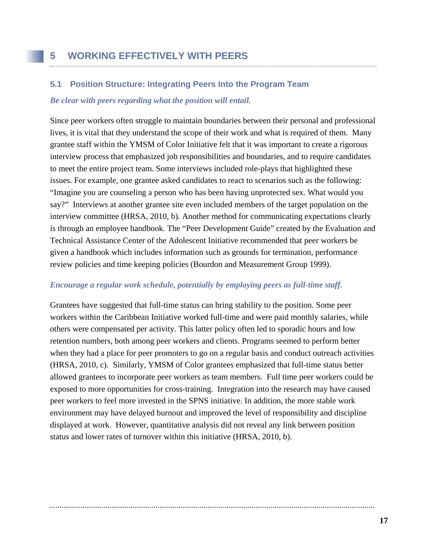### **5.1 Position Structure: Integrating Peers Into the Program Team**

#### *Be clear with peers regarding what the position will entail.*

Since peer workers often struggle to maintain boundaries between their personal and professional lives, it is vital that they understand the scope of their work and what is required of them. Many grantee staff within the YMSM of Color Initiative felt that it was important to create a rigorous interview process that emphasized job responsibilities and boundaries, and to require candidates to meet the entire project team. Some interviews included role-plays that highlighted these issues. For example, one grantee asked candidates to react to scenarios such as the following: "Imagine you are counseling a person who has been having unprotected sex. What would you say?" Interviews at another grantee site even included members of the target population on the interview committee (HRSA, 2010, b). Another method for communicating expectations clearly is through an employee handbook. The "Peer Development Guide" created by the Evaluation and Technical Assistance Center of the Adolescent Initiative recommended that peer workers be given a handbook which includes information such as grounds for termination, performance review policies and time keeping policies (Bourdon and Measurement Group 1999).

### *Encourage a regular work schedule, potentially by employing peers as full-time staff.*

Grantees have suggested that full-time status can bring stability to the position. Some peer workers within the Caribbean Initiative worked full-time and were paid monthly salaries, while others were compensated per activity. This latter policy often led to sporadic hours and low retention numbers, both among peer workers and clients. Programs seemed to perform better when they had a place for peer promoters to go on a regular basis and conduct outreach activities (HRSA, 2010, c). Similarly, YMSM of Color grantees emphasized that full-time status better allowed grantees to incorporate peer workers as team members. Full time peer workers could be exposed to more opportunities for cross-training. Integration into the research may have caused peer workers to feel more invested in the SPNS initiative. In addition, the more stable work environment may have delayed burnout and improved the level of responsibility and discipline displayed at work. However, quantitative analysis did not reveal any link between position status and lower rates of turnover within this initiative (HRSA, 2010, b).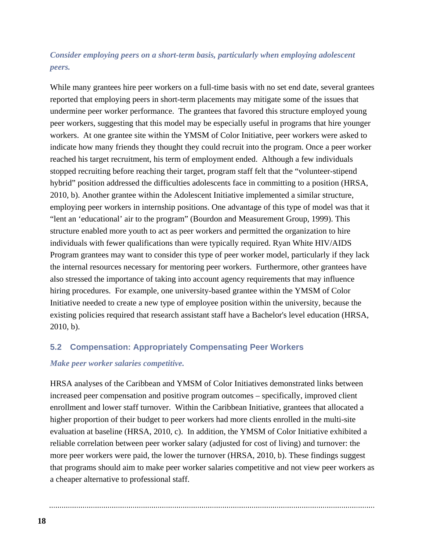## *Consider employing peers on a short-term basis, particularly when employing adolescent peers.*

While many grantees hire peer workers on a full-time basis with no set end date, several grantees reported that employing peers in short-term placements may mitigate some of the issues that undermine peer worker performance. The grantees that favored this structure employed young peer workers, suggesting that this model may be especially useful in programs that hire younger workers. At one grantee site within the YMSM of Color Initiative, peer workers were asked to indicate how many friends they thought they could recruit into the program. Once a peer worker reached his target recruitment, his term of employment ended. Although a few individuals stopped recruiting before reaching their target, program staff felt that the "volunteer-stipend hybrid" position addressed the difficulties adolescents face in committing to a position (HRSA, 2010, b). Another grantee within the Adolescent Initiative implemented a similar structure, employing peer workers in internship positions. One advantage of this type of model was that it "lent an 'educational' air to the program" (Bourdon and Measurement Group, 1999). This structure enabled more youth to act as peer workers and permitted the organization to hire individuals with fewer qualifications than were typically required. Ryan White HIV/AIDS Program grantees may want to consider this type of peer worker model, particularly if they lack the internal resources necessary for mentoring peer workers. Furthermore, other grantees have also stressed the importance of taking into account agency requirements that may influence hiring procedures. For example, one university-based grantee within the YMSM of Color Initiative needed to create a new type of employee position within the university, because the existing policies required that research assistant staff have a Bachelor's level education (HRSA, 2010, b).

### **5.2 Compensation: Appropriately Compensating Peer Workers**

#### *Make peer worker salaries competitive.*

HRSA analyses of the Caribbean and YMSM of Color Initiatives demonstrated links between increased peer compensation and positive program outcomes – specifically, improved client enrollment and lower staff turnover. Within the Caribbean Initiative, grantees that allocated a higher proportion of their budget to peer workers had more clients enrolled in the multi-site evaluation at baseline (HRSA, 2010, c). In addition, the YMSM of Color Initiative exhibited a reliable correlation between peer worker salary (adjusted for cost of living) and turnover: the more peer workers were paid, the lower the turnover (HRSA, 2010, b). These findings suggest that programs should aim to make peer worker salaries competitive and not view peer workers as a cheaper alternative to professional staff.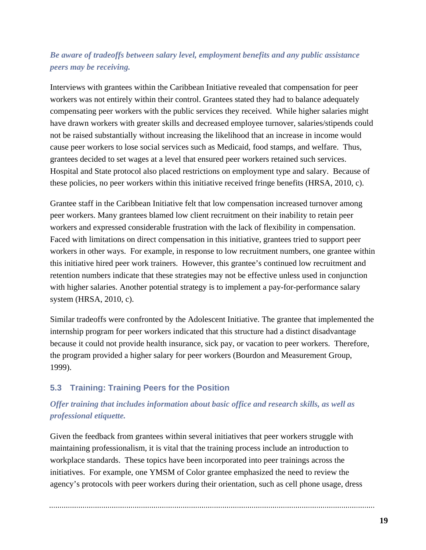## *Be aware of tradeoffs between salary level, employment benefits and any public assistance peers may be receiving.*

Interviews with grantees within the Caribbean Initiative revealed that compensation for peer workers was not entirely within their control. Grantees stated they had to balance adequately compensating peer workers with the public services they received. While higher salaries might have drawn workers with greater skills and decreased employee turnover, salaries/stipends could not be raised substantially without increasing the likelihood that an increase in income would cause peer workers to lose social services such as Medicaid, food stamps, and welfare. Thus, grantees decided to set wages at a level that ensured peer workers retained such services. Hospital and State protocol also placed restrictions on employment type and salary. Because of these policies, no peer workers within this initiative received fringe benefits (HRSA, 2010, c).

Grantee staff in the Caribbean Initiative felt that low compensation increased turnover among peer workers. Many grantees blamed low client recruitment on their inability to retain peer workers and expressed considerable frustration with the lack of flexibility in compensation. Faced with limitations on direct compensation in this initiative, grantees tried to support peer workers in other ways. For example, in response to low recruitment numbers, one grantee within this initiative hired peer work trainers. However, this grantee's continued low recruitment and retention numbers indicate that these strategies may not be effective unless used in conjunction with higher salaries. Another potential strategy is to implement a pay-for-performance salary system (HRSA, 2010, c).

Similar tradeoffs were confronted by the Adolescent Initiative. The grantee that implemented the internship program for peer workers indicated that this structure had a distinct disadvantage because it could not provide health insurance, sick pay, or vacation to peer workers. Therefore, the program provided a higher salary for peer workers (Bourdon and Measurement Group, 1999).

### **5.3 Training: Training Peers for the Position**

## *Offer training that includes information about basic office and research skills, as well as professional etiquette.*

Given the feedback from grantees within several initiatives that peer workers struggle with maintaining professionalism, it is vital that the training process include an introduction to workplace standards. These topics have been incorporated into peer trainings across the initiatives. For example, one YMSM of Color grantee emphasized the need to review the agency's protocols with peer workers during their orientation, such as cell phone usage, dress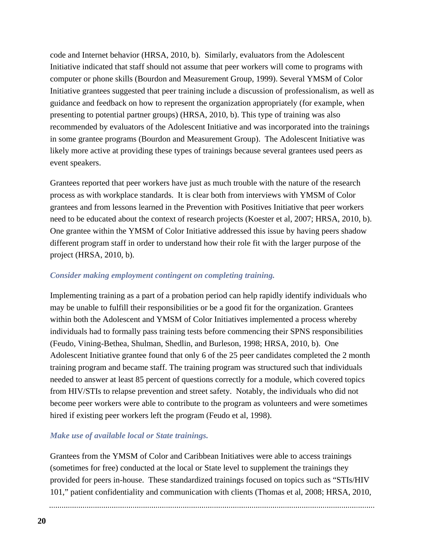code and Internet behavior (HRSA, 2010, b). Similarly, evaluators from the Adolescent Initiative indicated that staff should not assume that peer workers will come to programs with computer or phone skills (Bourdon and Measurement Group, 1999). Several YMSM of Color Initiative grantees suggested that peer training include a discussion of professionalism, as well as guidance and feedback on how to represent the organization appropriately (for example, when presenting to potential partner groups) (HRSA, 2010, b). This type of training was also recommended by evaluators of the Adolescent Initiative and was incorporated into the trainings in some grantee programs (Bourdon and Measurement Group). The Adolescent Initiative was likely more active at providing these types of trainings because several grantees used peers as event speakers.

Grantees reported that peer workers have just as much trouble with the nature of the research process as with workplace standards. It is clear both from interviews with YMSM of Color grantees and from lessons learned in the Prevention with Positives Initiative that peer workers need to be educated about the context of research projects (Koester et al, 2007; HRSA, 2010, b). One grantee within the YMSM of Color Initiative addressed this issue by having peers shadow different program staff in order to understand how their role fit with the larger purpose of the project (HRSA, 2010, b).

#### *Consider making employment contingent on completing training.*

Implementing training as a part of a probation period can help rapidly identify individuals who may be unable to fulfill their responsibilities or be a good fit for the organization. Grantees within both the Adolescent and YMSM of Color Initiatives implemented a process whereby individuals had to formally pass training tests before commencing their SPNS responsibilities (Feudo, Vining-Bethea, Shulman, Shedlin, and Burleson, 1998; HRSA, 2010, b). One Adolescent Initiative grantee found that only 6 of the 25 peer candidates completed the 2 month training program and became staff. The training program was structured such that individuals needed to answer at least 85 percent of questions correctly for a module, which covered topics from HIV/STIs to relapse prevention and street safety. Notably, the individuals who did not become peer workers were able to contribute to the program as volunteers and were sometimes hired if existing peer workers left the program (Feudo et al, 1998).

#### *Make use of available local or State trainings.*

Grantees from the YMSM of Color and Caribbean Initiatives were able to access trainings (sometimes for free) conducted at the local or State level to supplement the trainings they provided for peers in-house. These standardized trainings focused on topics such as "STIs/HIV 101," patient confidentiality and communication with clients (Thomas et al, 2008; HRSA, 2010,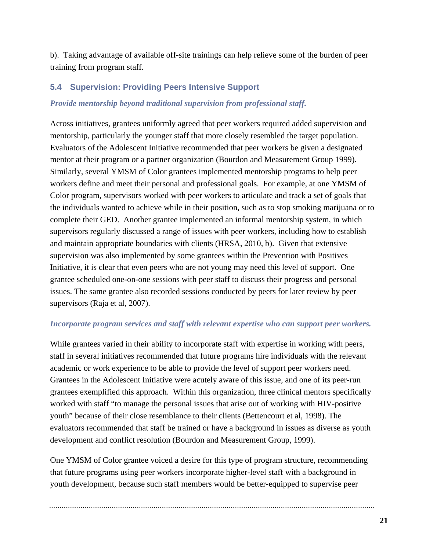b). Taking advantage of available off-site trainings can help relieve some of the burden of peer training from program staff.

### **5.4 Supervision: Providing Peers Intensive Support**

#### *Provide mentorship beyond traditional supervision from professional staff.*

Across initiatives, grantees uniformly agreed that peer workers required added supervision and mentorship, particularly the younger staff that more closely resembled the target population. Evaluators of the Adolescent Initiative recommended that peer workers be given a designated mentor at their program or a partner organization (Bourdon and Measurement Group 1999). Similarly, several YMSM of Color grantees implemented mentorship programs to help peer workers define and meet their personal and professional goals. For example, at one YMSM of Color program, supervisors worked with peer workers to articulate and track a set of goals that the individuals wanted to achieve while in their position, such as to stop smoking marijuana or to complete their GED. Another grantee implemented an informal mentorship system, in which supervisors regularly discussed a range of issues with peer workers, including how to establish and maintain appropriate boundaries with clients (HRSA, 2010, b). Given that extensive supervision was also implemented by some grantees within the Prevention with Positives Initiative, it is clear that even peers who are not young may need this level of support. One grantee scheduled one-on-one sessions with peer staff to discuss their progress and personal issues. The same grantee also recorded sessions conducted by peers for later review by peer supervisors (Raja et al, 2007).

#### *Incorporate program services and staff with relevant expertise who can support peer workers.*

While grantees varied in their ability to incorporate staff with expertise in working with peers, staff in several initiatives recommended that future programs hire individuals with the relevant academic or work experience to be able to provide the level of support peer workers need. Grantees in the Adolescent Initiative were acutely aware of this issue, and one of its peer-run grantees exemplified this approach. Within this organization, three clinical mentors specifically worked with staff "to manage the personal issues that arise out of working with HIV-positive youth" because of their close resemblance to their clients (Bettencourt et al, 1998). The evaluators recommended that staff be trained or have a background in issues as diverse as youth development and conflict resolution (Bourdon and Measurement Group, 1999).

One YMSM of Color grantee voiced a desire for this type of program structure, recommending that future programs using peer workers incorporate higher-level staff with a background in youth development, because such staff members would be better-equipped to supervise peer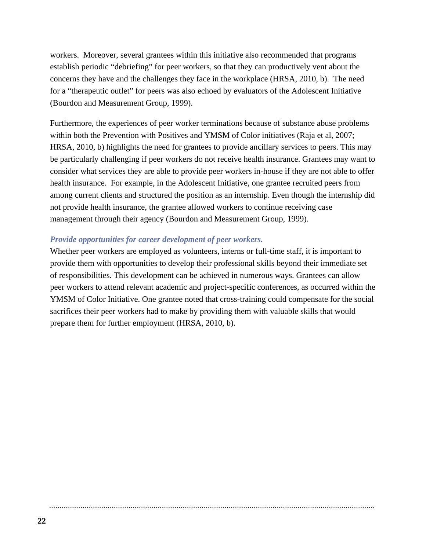workers. Moreover, several grantees within this initiative also recommended that programs establish periodic "debriefing" for peer workers, so that they can productively vent about the concerns they have and the challenges they face in the workplace (HRSA, 2010, b). The need for a "therapeutic outlet" for peers was also echoed by evaluators of the Adolescent Initiative (Bourdon and Measurement Group, 1999).

Furthermore, the experiences of peer worker terminations because of substance abuse problems within both the Prevention with Positives and YMSM of Color initiatives (Raja et al, 2007; HRSA, 2010, b) highlights the need for grantees to provide ancillary services to peers. This may be particularly challenging if peer workers do not receive health insurance. Grantees may want to consider what services they are able to provide peer workers in-house if they are not able to offer health insurance. For example, in the Adolescent Initiative, one grantee recruited peers from among current clients and structured the position as an internship. Even though the internship did not provide health insurance, the grantee allowed workers to continue receiving case management through their agency (Bourdon and Measurement Group, 1999).

#### *Provide opportunities for career development of peer workers.*

Whether peer workers are employed as volunteers, interns or full-time staff, it is important to provide them with opportunities to develop their professional skills beyond their immediate set of responsibilities. This development can be achieved in numerous ways. Grantees can allow peer workers to attend relevant academic and project-specific conferences, as occurred within the YMSM of Color Initiative. One grantee noted that cross-training could compensate for the social sacrifices their peer workers had to make by providing them with valuable skills that would prepare them for further employment (HRSA, 2010, b).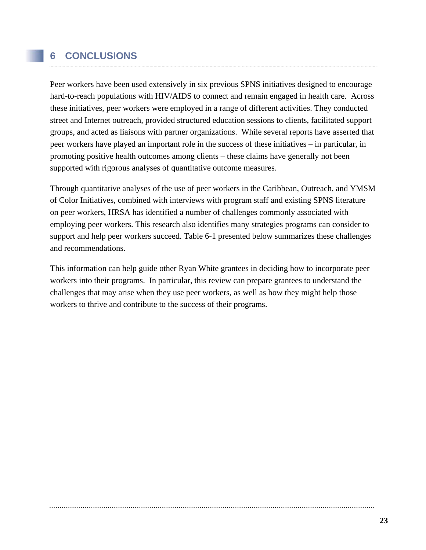## **6 CONCLUSIONS**

Peer workers have been used extensively in six previous SPNS initiatives designed to encourage hard-to-reach populations with HIV/AIDS to connect and remain engaged in health care. Across these initiatives, peer workers were employed in a range of different activities. They conducted street and Internet outreach, provided structured education sessions to clients, facilitated support groups, and acted as liaisons with partner organizations. While several reports have asserted that peer workers have played an important role in the success of these initiatives – in particular, in promoting positive health outcomes among clients – these claims have generally not been supported with rigorous analyses of quantitative outcome measures.

Through quantitative analyses of the use of peer workers in the Caribbean, Outreach, and YMSM of Color Initiatives, combined with interviews with program staff and existing SPNS literature on peer workers, HRSA has identified a number of challenges commonly associated with employing peer workers. This research also identifies many strategies programs can consider to support and help peer workers succeed. Table 6-1 presented below summarizes these challenges and recommendations.

This information can help guide other Ryan White grantees in deciding how to incorporate peer workers into their programs. In particular, this review can prepare grantees to understand the challenges that may arise when they use peer workers, as well as how they might help those workers to thrive and contribute to the success of their programs.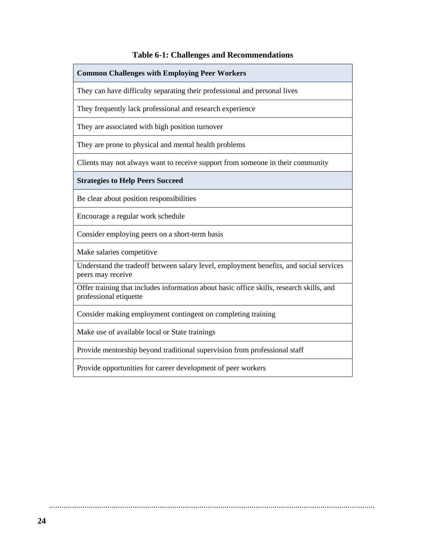#### **Table 6-1: Challenges and Recommendations**

#### **Common Challenges with Employing Peer Workers**

They can have difficulty separating their professional and personal lives

They frequently lack professional and research experience

They are associated with high position turnover

They are prone to physical and mental health problems

Clients may not always want to receive support from someone in their community

**Strategies to Help Peers Succeed** 

Be clear about position responsibilities

Encourage a regular work schedule

Consider employing peers on a short-term basis

Make salaries competitive

Understand the tradeoff between salary level, employment benefits, and social services peers may receive

Offer training that includes information about basic office skills, research skills, and professional etiquette

Consider making employment contingent on completing training

Make use of available local or State trainings

Provide mentorship beyond traditional supervision from professional staff

Provide opportunities for career development of peer workers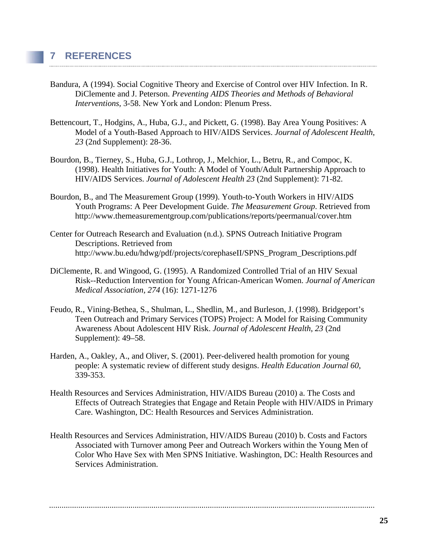- Bandura, A (1994). Social Cognitive Theory and Exercise of Control over HIV Infection. In R. DiClemente and J. Peterson. *Preventing AIDS Theories and Methods of Behavioral Interventions,* 3-58. New York and London: Plenum Press.
- Bettencourt, T., Hodgins, A., Huba, G.J., and Pickett, G. (1998). Bay Area Young Positives: A Model of a Youth-Based Approach to HIV/AIDS Services. *Journal of Adolescent Health*, *23* (2nd Supplement): 28-36.
- Bourdon, B., Tierney, S., Huba, G.J., Lothrop, J., Melchior, L., Betru, R., and Compoc, K. (1998). Health Initiatives for Youth: A Model of Youth/Adult Partnership Approach to HIV/AIDS Services. *Journal of Adolescent Health 23* (2nd Supplement): 71-82.
- Bourdon, B., and The Measurement Group (1999). Youth-to-Youth Workers in HIV/AIDS Youth Programs: A Peer Development Guide. *The Measurement Group*. Retrieved from http://www.themeasurementgroup.com/publications/reports/peermanual/cover.htm
- Center for Outreach Research and Evaluation (n.d.). SPNS Outreach Initiative Program Descriptions. Retrieved from http://www.bu.edu/hdwg/pdf/projects/corephaseII/SPNS\_Program\_Descriptions.pdf
- DiClemente, R. and Wingood, G. (1995). A Randomized Controlled Trial of an HIV Sexual Risk--Reduction Intervention for Young African-American Women. *Journal of American Medical Association, 274* (16): 1271-1276
- Feudo, R., Vining-Bethea, S., Shulman, L., Shedlin, M., and Burleson, J. (1998). Bridgeport's Teen Outreach and Primary Services (TOPS) Project: A Model for Raising Community Awareness About Adolescent HIV Risk. *Journal of Adolescent Health*, *23* (2nd Supplement): 49–58.
- Harden, A., Oakley, A., and Oliver, S. (2001). Peer-delivered health promotion for young people: A systematic review of different study designs. *Health Education Journal 60*, 339-353.
- Health Resources and Services Administration, HIV/AIDS Bureau (2010) a. The Costs and Effects of Outreach Strategies that Engage and Retain People with HIV/AIDS in Primary Care. Washington, DC: Health Resources and Services Administration.
- Health Resources and Services Administration, HIV/AIDS Bureau (2010) b. Costs and Factors Associated with Turnover among Peer and Outreach Workers within the Young Men of Color Who Have Sex with Men SPNS Initiative. Washington, DC: Health Resources and Services Administration.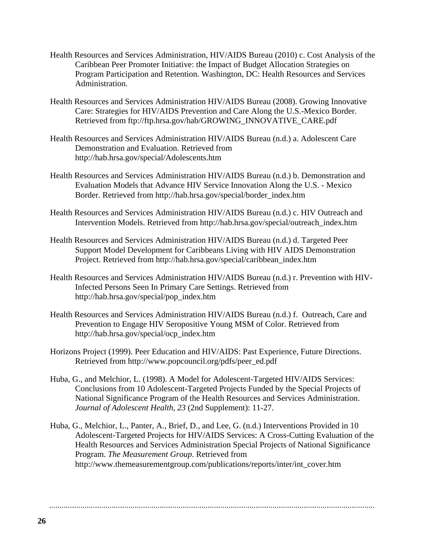- Health Resources and Services Administration, HIV/AIDS Bureau (2010) c. Cost Analysis of the Caribbean Peer Promoter Initiative: the Impact of Budget Allocation Strategies on Program Participation and Retention. Washington, DC: Health Resources and Services Administration.
- Health Resources and Services Administration HIV/AIDS Bureau (2008). Growing Innovative Care: Strategies for HIV/AIDS Prevention and Care Along the U.S.-Mexico Border. Retrieved from ftp://ftp.hrsa.gov/hab/GROWING\_INNOVATIVE\_CARE.pdf
- Health Resources and Services Administration HIV/AIDS Bureau (n.d.) a. Adolescent Care Demonstration and Evaluation. Retrieved from http://hab.hrsa.gov/special/Adolescents.htm
- Health Resources and Services Administration HIV/AIDS Bureau (n.d.) b. Demonstration and Evaluation Models that Advance HIV Service Innovation Along the U.S. - Mexico Border. Retrieved from http://hab.hrsa.gov/special/border\_index.htm
- Health Resources and Services Administration HIV/AIDS Bureau (n.d.) c. HIV Outreach and Intervention Models. Retrieved from http://hab.hrsa.gov/special/outreach\_index.htm
- Health Resources and Services Administration HIV/AIDS Bureau (n.d.) d. Targeted Peer Support Model Development for Caribbeans Living with HIV AIDS Demonstration Project. Retrieved from http://hab.hrsa.gov/special/caribbean\_index.htm
- Health Resources and Services Administration HIV/AIDS Bureau (n.d.) r. Prevention with HIV-Infected Persons Seen In Primary Care Settings. Retrieved from http://hab.hrsa.gov/special/pop\_index.htm
- Health Resources and Services Administration HIV/AIDS Bureau (n.d.) f. Outreach, Care and Prevention to Engage HIV Seropositive Young MSM of Color. Retrieved from http://hab.hrsa.gov/special/ocp\_index.htm
- Horizons Project (1999). Peer Education and HIV/AIDS: Past Experience, Future Directions. Retrieved from http://www.popcouncil.org/pdfs/peer\_ed.pdf
- Huba, G., and Melchior, L. (1998). A Model for Adolescent-Targeted HIV/AIDS Services: Conclusions from 10 Adolescent-Targeted Projects Funded by the Special Projects of National Significance Program of the Health Resources and Services Administration. *Journal of Adolescent Health, 23* (2nd Supplement): 11-27.
- Huba, G., Melchior, L., Panter, A., Brief, D., and Lee, G. (n.d.) Interventions Provided in 10 Adolescent-Targeted Projects for HIV/AIDS Services: A Cross-Cutting Evaluation of the Health Resources and Services Administration Special Projects of National Significance Program. *The Measurement Group*. Retrieved from http://www.themeasurementgroup.com/publications/reports/inter/int\_cover.htm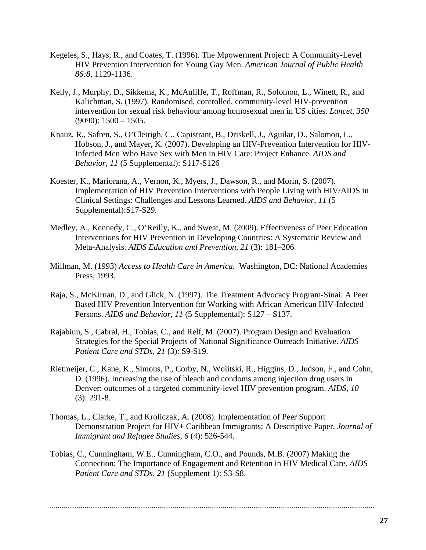- Kegeles, S., Hays, R., and Coates, T. (1996). The Mpowerment Project: A Community-Level HIV Prevention Intervention for Young Gay Men. *American Journal of Public Health 86:8*, 1129-1136.
- Kelly, J., Murphy, D., Sikkema, K., McAuliffe, T., Roffman, R., Solomon, L., Winett, R., and Kalichman, S. (1997). Randomised, controlled, community-level HIV-prevention intervention for sexual risk behaviour among homosexual men in US cities. *Lancet, 350*  $(9090): 1500 - 1505.$
- Knauz, R., Safren, S., O'Cleirigh, C., Capistrant, B., Driskell, J., Aguilar, D., Salomon, L., Hobson, J., and Mayer, K. (2007). Developing an HIV-Prevention Intervention for HIV-Infected Men Who Have Sex with Men in HIV Care: Project Enhance. *AIDS and Behavior, 11* (5 Supplemental): S117-S126
- Koester, K., Mariorana, A., Vernon, K., Myers, J., Dawson, R., and Morin, S. (2007). Implementation of HIV Prevention Interventions with People Living with HIV/AIDS in Clinical Settings: Challenges and Lessons Learned. *AIDS and Behavior*, *11* (5 Supplemental):S17-S29.
- Medley, A., Kennedy, C., O'Reilly, K., and Sweat, M. (2009). Effectiveness of Peer Education Interventions for HIV Prevention in Developing Countries: A Systematic Review and Meta-Analysis. *AIDS Education and Prevention, 21* (3): 181–206
- Millman, M. (1993) *Access to Health Care in America.* Washington, DC: National Academies Press, 1993.
- Raja, S., McKirnan, D., and Glick, N. (1997). The Treatment Advocacy Program-Sinai: A Peer Based HIV Prevention Intervention for Working with African American HIV-Infected Persons. *AIDS and Behavior, 11* (5 Supplemental): S127 – S137.
- Rajabiun, S., Cabral, H., Tobias, C., and Relf, M. (2007). Program Design and Evaluation Strategies for the Special Projects of National Significance Outreach Initiative. *AIDS Patient Care and STDs*, *21* (3): S9-S19.
- Rietmeijer, C., Kane, K., Simons, P., Corby, N., Wolitski, R., Higgins, D., Judson, F., and Cohn, D. (1996). Increasing the use of bleach and condoms among injection drug users in Denver: outcomes of a targeted community-level HIV prevention program. *AIDS, 10* (3): 291-8.
- Thomas, L., Clarke, T., and Kroliczak, A. (2008). Implementation of Peer Support Demonstration Project for HIV+ Caribbean Immigrants: A Descriptive Paper. *Journal of Immigrant and Refugee Studies*, *6* (4): 526-544.
- Tobias, C., Cunningham, W.E., Cunningham, C.O., and Pounds, M.B. (2007) Making the Connection: The Importance of Engagement and Retention in HIV Medical Care. *AIDS Patient Care and STDs, 21* (Supplement 1): S3-S8.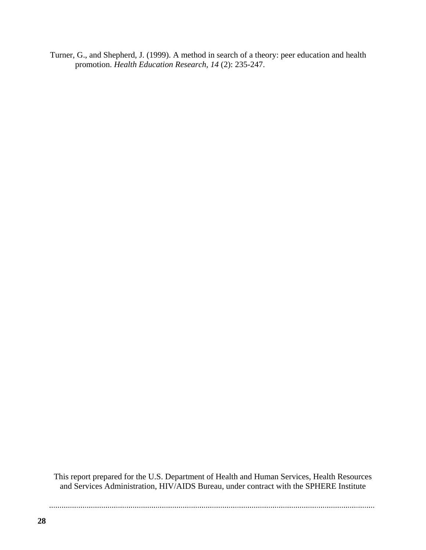Turner, G., and Shepherd, J. (1999). A method in search of a theory: peer education and health promotion. *Health Education Research, 14* (2): 235-247.

This report prepared for the U.S. Department of Health and Human Services, Health Resources and Services Administration, HIV/AIDS Bureau, under contract with the SPHERE Institute